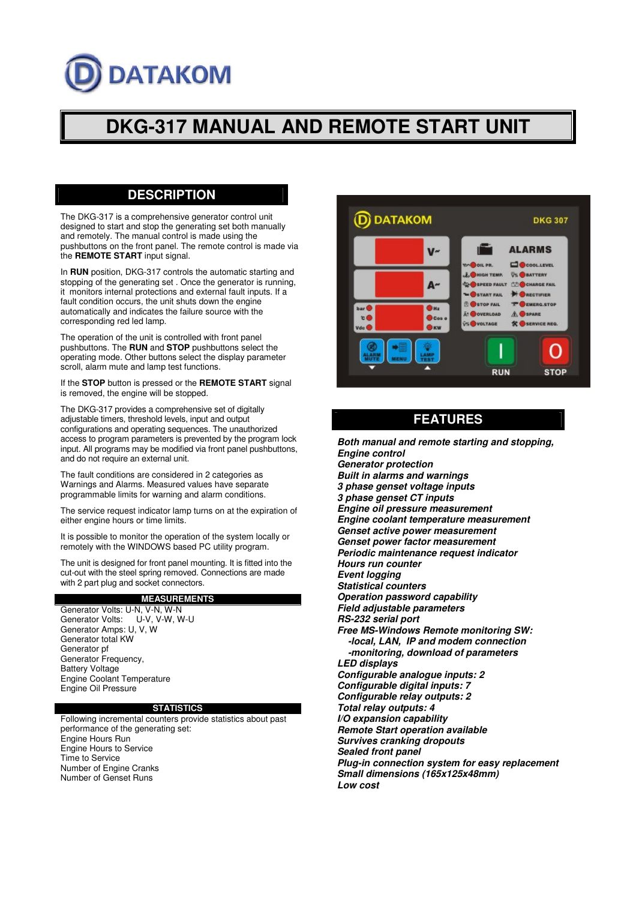# **DATAKOM**

# **DKG-317 MANUAL AND REMOTE START UNIT**

### **DESCRIPTION**

The DKG-317 is a comprehensive generator control unit designed to start and stop the generating set both manually and remotely. The manual control is made using the pushbuttons on the front panel. The remote control is made via the **REMOTE START** input signal.

In **RUN** position, DKG-317 controls the automatic starting and stopping of the generating set . Once the generator is running, it monitors internal protections and external fault inputs. If a fault condition occurs, the unit shuts down the engine automatically and indicates the failure source with the corresponding red led lamp.

The operation of the unit is controlled with front panel pushbuttons. The **RUN** and **STOP** pushbuttons select the operating mode. Other buttons select the display parameter scroll, alarm mute and lamp test functions.

If the **STOP** button is pressed or the **REMOTE START** signal is removed, the engine will be stopped.

The DKG-317 provides a comprehensive set of digitally adjustable timers, threshold levels, input and output configurations and operating sequences. The unauthorized access to program parameters is prevented by the program lock input. All programs may be modified via front panel pushbuttons, and do not require an external unit.

The fault conditions are considered in 2 categories as Warnings and Alarms. Measured values have separate programmable limits for warning and alarm conditions.

The service request indicator lamp turns on at the expiration of either engine hours or time limits.

It is possible to monitor the operation of the system locally or remotely with the WINDOWS based PC utility program.

The unit is designed for front panel mounting. It is fitted into the cut-out with the steel spring removed. Connections are made with 2 part plug and socket connectors.

#### **MEASUREMENTS**

Generator Volts: U-N, V-N, W-N<br>Generator Volts: U-V, V-W, W-U Generator Volts: Generator Amps: U, V, W Generator total KW Generator pf Generator Frequency, Battery Voltage Engine Coolant Temperature Engine Oil Pressure

#### **STATISTICS**

Following incremental counters provide statistics about past performance of the generating set: Engine Hours Run Engine Hours to Service Time to Service Number of Engine Cranks Number of Genset Runs



# **FEATURES**

*Both manual and remote starting and stopping, Engine control Generator protection Built in alarms and warnings 3 phase genset voltage inputs 3 phase genset CT inputs Engine oil pressure measurement Engine coolant temperature measurement Genset active power measurement Genset power factor measurement Periodic maintenance request indicator Hours run counter Event logging Statistical counters Operation password capability Field adjustable parameters RS-232 serial port Free MS-Windows Remote monitoring SW: -local, LAN, IP and modem connection -monitoring, download of parameters LED displays Configurable analogue inputs: 2 Configurable digital inputs: 7 Configurable relay outputs: 2 Total relay outputs: 4 I/O expansion capability Remote Start operation available Survives cranking dropouts Sealed front panel Plug-in connection system for easy replacement Small dimensions (165x125x48mm) Low cost*